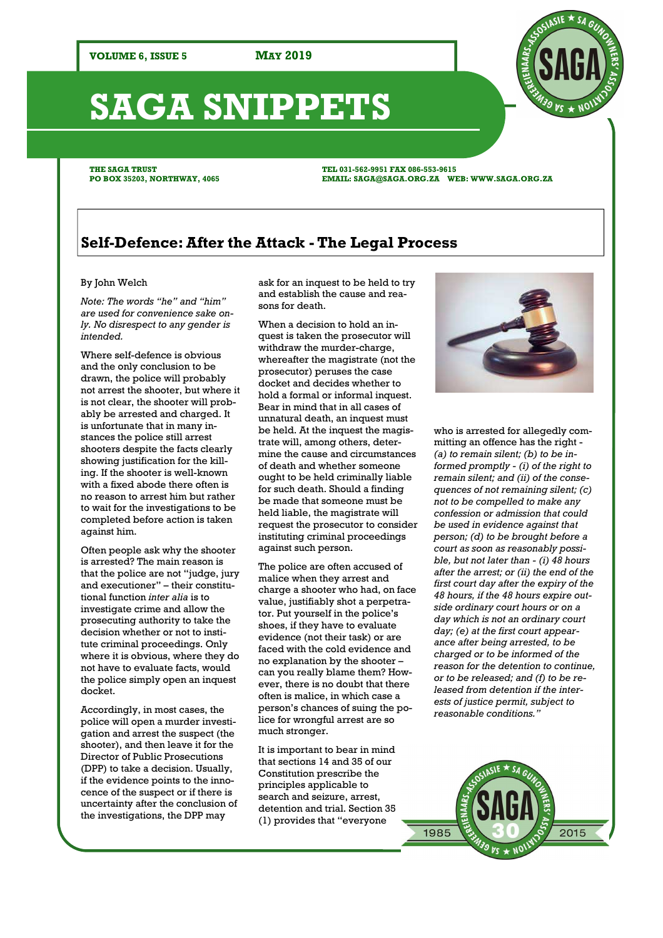# **SAGA SNIPPETS**

**THE SAGA TRUST PO BOX 35203, NORTHWAY, 4065**  **TEL 031-562-9951 FAX 086-553-9615 EMAIL: SAGA@SAGA.ORG.ZA WEB: WWW.SAGA.ORG.ZA** 

# **Self-Defence: After the Attack - The Legal Process**

#### By John Welch

*Note: The words "he" and "him" are used for convenience sake only. No disrespect to any gender is intended.* 

Where self-defence is obvious and the only conclusion to be drawn, the police will probably not arrest the shooter, but where it is not clear, the shooter will probably be arrested and charged. It is unfortunate that in many instances the police still arrest shooters despite the facts clearly showing justification for the killing. If the shooter is well-known with a fixed abode there often is no reason to arrest him but rather to wait for the investigations to be completed before action is taken against him.

Often people ask why the shooter is arrested? The main reason is that the police are not "judge, jury and executioner" – their constitutional function *inter alia* is to investigate crime and allow the prosecuting authority to take the decision whether or not to institute criminal proceedings. Only where it is obvious, where they do not have to evaluate facts, would the police simply open an inquest docket.

Accordingly, in most cases, the police will open a murder investigation and arrest the suspect (the shooter), and then leave it for the Director of Public Prosecutions (DPP) to take a decision. Usually, if the evidence points to the innocence of the suspect or if there is uncertainty after the conclusion of the investigations, the DPP may

ask for an inquest to be held to try and establish the cause and reasons for death.

When a decision to hold an inquest is taken the prosecutor will withdraw the murder-charge, whereafter the magistrate (not the prosecutor) peruses the case docket and decides whether to hold a formal or informal inquest. Bear in mind that in all cases of unnatural death, an inquest must be held. At the inquest the magistrate will, among others, determine the cause and circumstances of death and whether someone ought to be held criminally liable for such death. Should a finding be made that someone must be held liable, the magistrate will request the prosecutor to consider instituting criminal proceedings against such person.

The police are often accused of malice when they arrest and charge a shooter who had, on face value, justifiably shot a perpetrator. Put yourself in the police's shoes, if they have to evaluate evidence (not their task) or are faced with the cold evidence and no explanation by the shooter – can you really blame them? However, there is no doubt that there often is malice, in which case a person's chances of suing the police for wrongful arrest are so much stronger.

It is important to bear in mind that sections 14 and 35 of our Constitution prescribe the principles applicable to search and seizure, arrest, detention and trial. Section 35 (1) provides that "everyone



who is arrested for allegedly committing an offence has the right - *(a) to remain silent; (b) to be informed promptly - (i) of the right to remain silent; and (ii) of the consequences of not remaining silent; (c) not to be compelled to make any confession or admission that could be used in evidence against that person; (d) to be brought before a court as soon as reasonably possible, but not later than - (i) 48 hours after the arrest; or (ii) the end of the first court day after the expiry of the 48 hours, if the 48 hours expire outside ordinary court hours or on a day which is not an ordinary court day; (e) at the first court appearance after being arrested, to be charged or to be informed of the reason for the detention to continue, or to be released; and (f) to be released from detention if the interests of justice permit, subject to reasonable conditions."* 



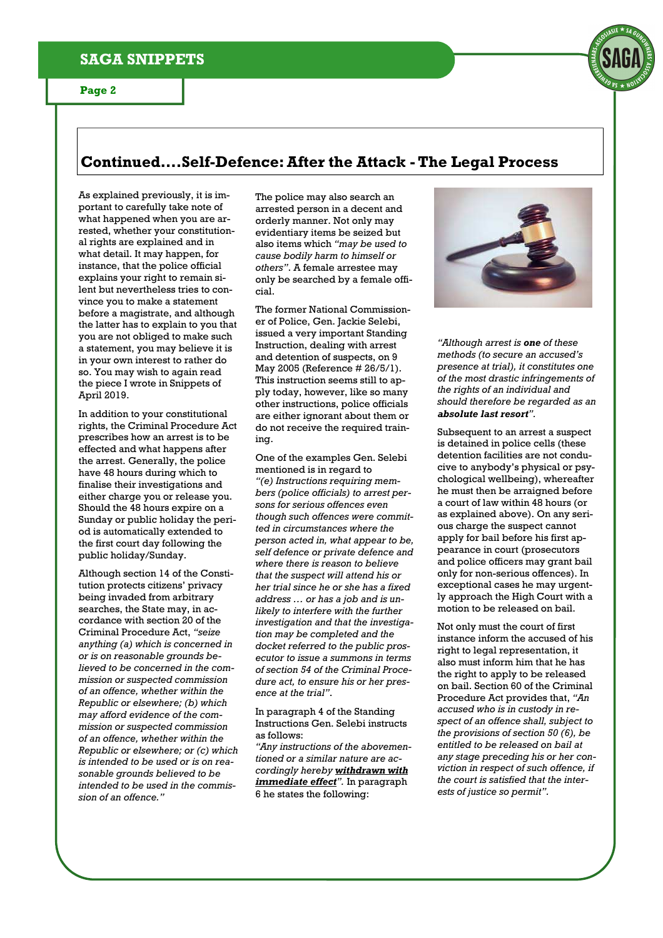

# **Continued….Self-Defence: After the Attack - The Legal Process**

As explained previously, it is important to carefully take note of what happened when you are arrested, whether your constitutional rights are explained and in what detail. It may happen, for instance, that the police official explains your right to remain silent but nevertheless tries to convince you to make a statement before a magistrate, and although the latter has to explain to you that you are not obliged to make such a statement, you may believe it is in your own interest to rather do so. You may wish to again read the piece I wrote in Snippets of April 2019.

In addition to your constitutional rights, the Criminal Procedure Act prescribes how an arrest is to be effected and what happens after the arrest. Generally, the police have 48 hours during which to finalise their investigations and either charge you or release you. Should the 48 hours expire on a Sunday or public holiday the period is automatically extended to the first court day following the public holiday/Sunday.

Although section 14 of the Constitution protects citizens' privacy being invaded from arbitrary searches, the State may, in accordance with section 20 of the Criminal Procedure Act, *"seize anything (a) which is concerned in or is on reasonable grounds believed to be concerned in the commission or suspected commission of an offence, whether within the Republic or elsewhere; (b) which may afford evidence of the commission or suspected commission of an offence, whether within the Republic or elsewhere; or (c) which is intended to be used or is on reasonable grounds believed to be intended to be used in the commission of an offence."* 

The police may also search an arrested person in a decent and orderly manner. Not only may evidentiary items be seized but also items which *"may be used to cause bodily harm to himself or others"*. A female arrestee may only be searched by a female official.

The former National Commissioner of Police, Gen. Jackie Selebi, issued a very important Standing Instruction, dealing with arrest and detention of suspects, on 9 May 2005 (Reference # 26/5/1). This instruction seems still to apply today, however, like so many other instructions, police officials are either ignorant about them or do not receive the required training.

One of the examples Gen. Selebi mentioned is in regard to *"(e) Instructions requiring members (police officials) to arrest persons for serious offences even though such offences were committed in circumstances where the person acted in, what appear to be, self defence or private defence and where there is reason to believe that the suspect will attend his or her trial since he or she has a fixed address … or has a job and is unlikely to interfere with the further investigation and that the investigation may be completed and the docket referred to the public prosecutor to issue a summons in terms of section 54 of the Criminal Procedure act, to ensure his or her presence at the trial"*.

In paragraph 4 of the Standing Instructions Gen. Selebi instructs as follows:

*"Any instructions of the abovementioned or a similar nature are accordingly hereby withdrawn with immediate effect".* In paragraph 6 he states the following:



*"Although arrest is one of these methods (to secure an accused's presence at trial), it constitutes one of the most drastic infringements of the rights of an individual and should therefore be regarded as an absolute last resort".* 

Subsequent to an arrest a suspect is detained in police cells (these detention facilities are not conducive to anybody's physical or psychological wellbeing), whereafter he must then be arraigned before a court of law within 48 hours (or as explained above). On any serious charge the suspect cannot apply for bail before his first appearance in court (prosecutors and police officers may grant bail only for non-serious offences). In exceptional cases he may urgently approach the High Court with a motion to be released on bail.

Not only must the court of first instance inform the accused of his right to legal representation, it also must inform him that he has the right to apply to be released on bail. Section 60 of the Criminal Procedure Act provides that, *"An accused who is in custody in respect of an offence shall, subject to the provisions of section 50 (6), be entitled to be released on bail at any stage preceding his or her conviction in respect of such offence, if the court is satisfied that the interests of justice so permit".*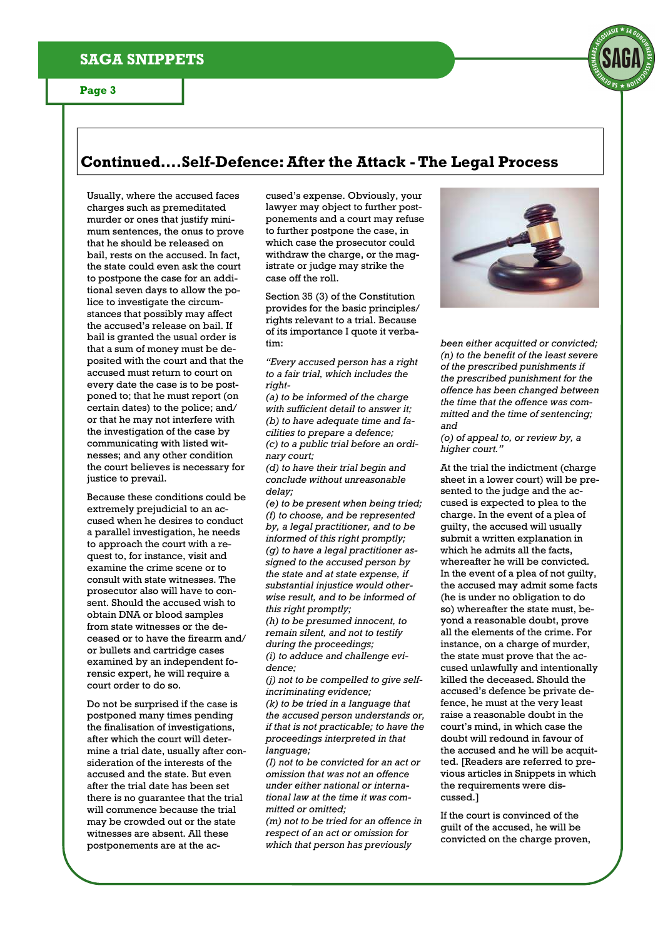

# **Continued….Self-Defence: After the Attack - The Legal Process**

Usually, where the accused faces charges such as premeditated murder or ones that justify minimum sentences, the onus to prove that he should be released on bail, rests on the accused. In fact, the state could even ask the court to postpone the case for an additional seven days to allow the police to investigate the circumstances that possibly may affect the accused's release on bail. If bail is granted the usual order is that a sum of money must be deposited with the court and that the accused must return to court on every date the case is to be postponed to; that he must report (on certain dates) to the police; and/ or that he may not interfere with the investigation of the case by communicating with listed witnesses; and any other condition the court believes is necessary for justice to prevail.

Because these conditions could be extremely prejudicial to an accused when he desires to conduct a parallel investigation, he needs to approach the court with a request to, for instance, visit and examine the crime scene or to consult with state witnesses. The prosecutor also will have to consent. Should the accused wish to obtain DNA or blood samples from state witnesses or the deceased or to have the firearm and/ or bullets and cartridge cases examined by an independent forensic expert, he will require a court order to do so.

Do not be surprised if the case is postponed many times pending the finalisation of investigations, after which the court will determine a trial date, usually after consideration of the interests of the accused and the state. But even after the trial date has been set there is no guarantee that the trial will commence because the trial may be crowded out or the state witnesses are absent. All these postponements are at the accused's expense. Obviously, your lawyer may object to further postponements and a court may refuse to further postpone the case, in which case the prosecutor could withdraw the charge, or the magistrate or judge may strike the case off the roll.

Section 35 (3) of the Constitution provides for the basic principles/ rights relevant to a trial. Because of its importance I quote it verbatim:

*"Every accused person has a right to a fair trial, which includes the right-* 

*(a) to be informed of the charge with sufficient detail to answer it; (b) to have adequate time and facilities to prepare a defence; (c) to a public trial before an ordinary court;* 

*(d) to have their trial begin and conclude without unreasonable delay;* 

*(e) to be present when being tried; (f) to choose, and be represented by, a legal practitioner, and to be informed of this right promptly; (g) to have a legal practitioner assigned to the accused person by the state and at state expense, if substantial injustice would otherwise result, and to be informed of this right promptly;* 

*(h) to be presumed innocent, to remain silent, and not to testify during the proceedings;* 

*(i) to adduce and challenge evidence;* 

*(j) not to be compelled to give selfincriminating evidence;* 

*(k) to be tried in a language that the accused person understands or, if that is not practicable; to have the proceedings interpreted in that language;* 

*(I) not to be convicted for an act or omission that was not an offence under either national or international law at the time it was committed or omitted;* 

*(m) not to be tried for an offence in respect of an act or omission for which that person has previously* 



*been either acquitted or convicted; (n) to the benefit of the least severe of the prescribed punishments if the prescribed punishment for the offence has been changed between the time that the offence was committed and the time of sentencing; and* 

*(o) of appeal to, or review by, a higher court."* 

At the trial the indictment (charge sheet in a lower court) will be presented to the judge and the accused is expected to plea to the charge. In the event of a plea of guilty, the accused will usually submit a written explanation in which he admits all the facts, whereafter he will be convicted. In the event of a plea of not guilty, the accused may admit some facts (he is under no obligation to do so) whereafter the state must, beyond a reasonable doubt, prove all the elements of the crime. For instance, on a charge of murder, the state must prove that the accused unlawfully and intentionally killed the deceased. Should the accused's defence be private defence, he must at the very least raise a reasonable doubt in the court's mind, in which case the doubt will redound in favour of the accused and he will be acquitted. [Readers are referred to previous articles in Snippets in which the requirements were discussed.]

If the court is convinced of the guilt of the accused, he will be convicted on the charge proven,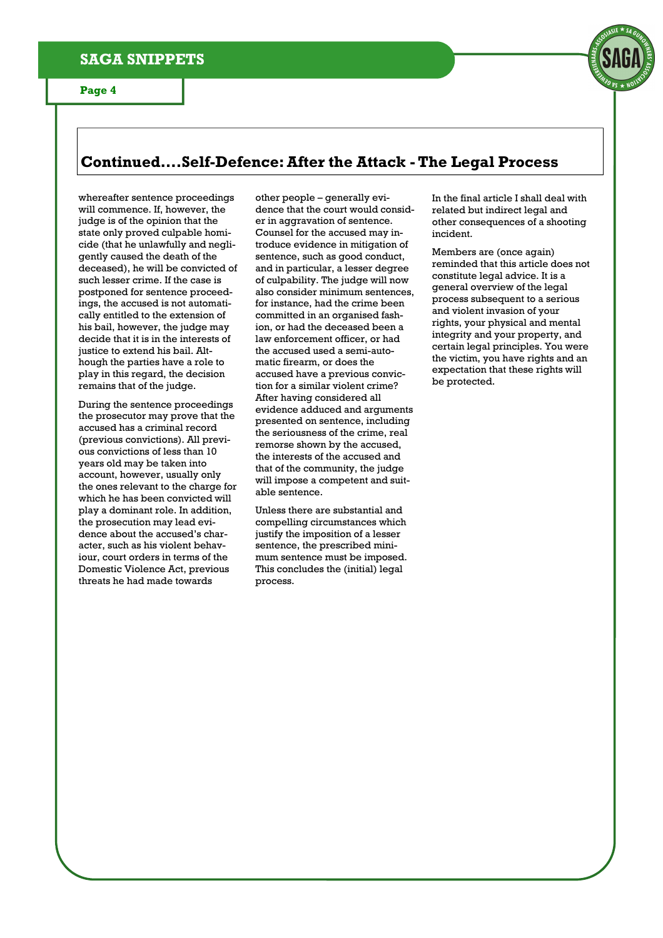**Page 4** 



# **Continued….Self-Defence: After the Attack - The Legal Process**

whereafter sentence proceedings will commence. If, however, the judge is of the opinion that the state only proved culpable homicide (that he unlawfully and negligently caused the death of the deceased), he will be convicted of such lesser crime. If the case is postponed for sentence proceedings, the accused is not automatically entitled to the extension of his bail, however, the judge may decide that it is in the interests of justice to extend his bail. Although the parties have a role to play in this regard, the decision remains that of the judge.

During the sentence proceedings the prosecutor may prove that the accused has a criminal record (previous convictions). All previous convictions of less than 10 years old may be taken into account, however, usually only the ones relevant to the charge for which he has been convicted will play a dominant role. In addition, the prosecution may lead evidence about the accused's character, such as his violent behaviour, court orders in terms of the Domestic Violence Act, previous threats he had made towards

other people – generally evidence that the court would consider in aggravation of sentence. Counsel for the accused may introduce evidence in mitigation of sentence, such as good conduct, and in particular, a lesser degree of culpability. The judge will now also consider minimum sentences, for instance, had the crime been committed in an organised fashion, or had the deceased been a law enforcement officer, or had the accused used a semi-automatic firearm, or does the accused have a previous conviction for a similar violent crime? After having considered all evidence adduced and arguments presented on sentence, including the seriousness of the crime, real remorse shown by the accused, the interests of the accused and that of the community, the judge will impose a competent and suitable sentence.

Unless there are substantial and compelling circumstances which justify the imposition of a lesser sentence, the prescribed minimum sentence must be imposed. This concludes the (initial) legal process.

In the final article I shall deal with related but indirect legal and other consequences of a shooting incident.

Members are (once again) reminded that this article does not constitute legal advice. It is a general overview of the legal process subsequent to a serious and violent invasion of your rights, your physical and mental integrity and your property, and certain legal principles. You were the victim, you have rights and an expectation that these rights will be protected.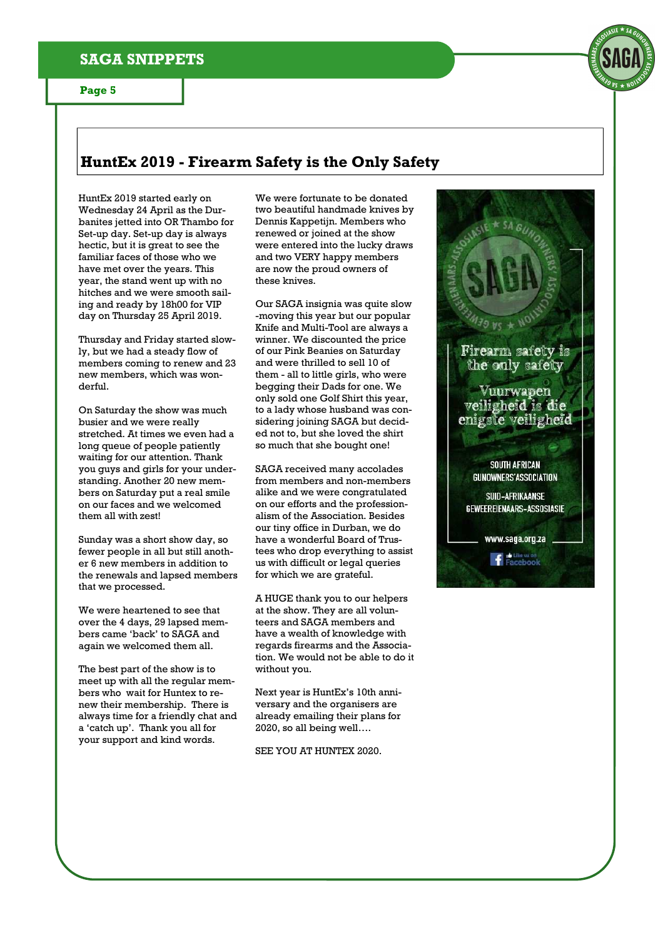

HuntEx 2019 started early on Wednesday 24 April as the Durbanites jetted into OR Thambo for Set-up day. Set-up day is always hectic, but it is great to see the familiar faces of those who we have met over the years. This year, the stand went up with no hitches and we were smooth sailing and ready by 18h00 for VIP day on Thursday 25 April 2019.

Thursday and Friday started slowly, but we had a steady flow of members coming to renew and 23 new members, which was wonderful.

On Saturday the show was much busier and we were really stretched. At times we even had a long queue of people patiently waiting for our attention. Thank you guys and girls for your understanding. Another 20 new members on Saturday put a real smile on our faces and we welcomed them all with zest!

Sunday was a short show day, so fewer people in all but still another 6 new members in addition to the renewals and lapsed members that we processed.

We were heartened to see that over the 4 days, 29 lapsed members came 'back' to SAGA and again we welcomed them all.

The best part of the show is to meet up with all the regular members who wait for Huntex to renew their membership. There is always time for a friendly chat and a 'catch up'. Thank you all for your support and kind words.

We were fortunate to be donated two beautiful handmade knives by Dennis Kappetijn. Members who renewed or joined at the show were entered into the lucky draws and two VERY happy members are now the proud owners of these knives.

Our SAGA insignia was quite slow -moving this year but our popular Knife and Multi-Tool are always a winner. We discounted the price of our Pink Beanies on Saturday and were thrilled to sell 10 of them - all to little girls, who were begging their Dads for one. We only sold one Golf Shirt this year, to a lady whose husband was considering joining SAGA but decided not to, but she loved the shirt so much that she bought one!

SAGA received many accolades from members and non-members alike and we were congratulated on our efforts and the professionalism of the Association. Besides our tiny office in Durban, we do have a wonderful Board of Trustees who drop everything to assist us with difficult or legal queries for which we are grateful.

A HUGE thank you to our helpers at the show. They are all volunteers and SAGA members and have a wealth of knowledge with regards firearms and the Association. We would not be able to do it without you.

Next year is HuntEx's 10th anniversary and the organisers are already emailing their plans for 2020, so all being well….

SEE YOU AT HUNTEX 2020.

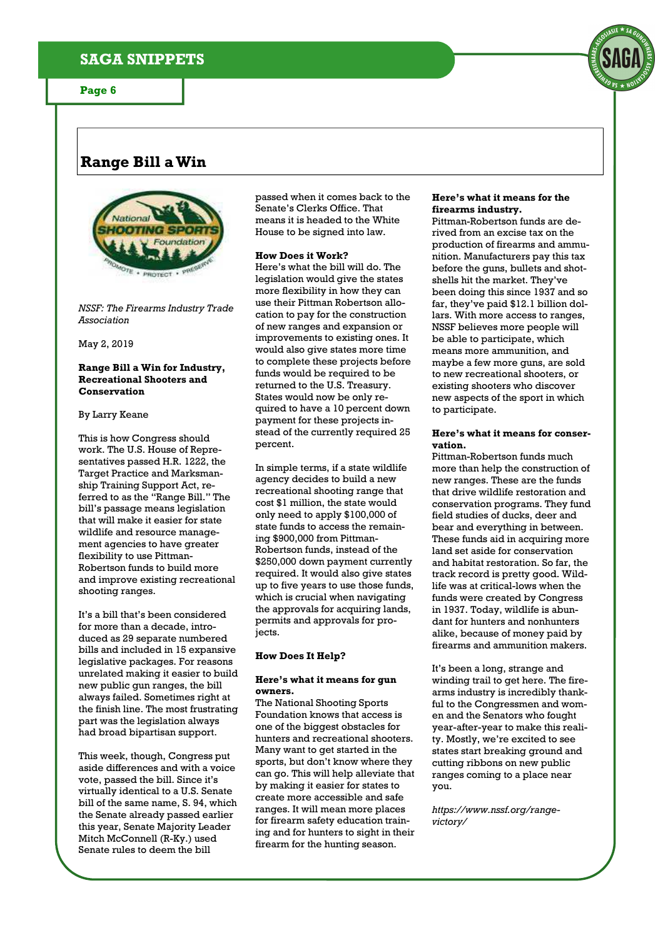# **Range Bill a Win**



*NSSF: The Firearms Industry Trade Association* 

#### May 2, 2019

#### **Range Bill a Win for Industry, Recreational Shooters and Conservation**

#### By Larry Keane

This is how Congress should work. The U.S. House of Representatives passed H.R. 1222, the Target Practice and Marksmanship Training Support Act, referred to as the "Range Bill." The bill's passage means legislation that will make it easier for state wildlife and resource management agencies to have greater flexibility to use Pittman-Robertson funds to build more and improve existing recreational shooting ranges.

It's a bill that's been considered for more than a decade, introduced as 29 separate numbered bills and included in 15 expansive legislative packages. For reasons unrelated making it easier to build new public gun ranges, the bill always failed. Sometimes right at the finish line. The most frustrating part was the legislation always had broad bipartisan support.

This week, though, Congress put aside differences and with a voice vote, passed the bill. Since it's virtually identical to a U.S. Senate bill of the same name, S. 94, which the Senate already passed earlier this year, Senate Majority Leader Mitch McConnell (R-Ky.) used Senate rules to deem the bill

passed when it comes back to the Senate's Clerks Office. That means it is headed to the White House to be signed into law.

### **How Does it Work?**

Here's what the bill will do. The legislation would give the states more flexibility in how they can use their Pittman Robertson allocation to pay for the construction of new ranges and expansion or improvements to existing ones. It would also give states more time to complete these projects before funds would be required to be returned to the U.S. Treasury. States would now be only required to have a 10 percent down payment for these projects instead of the currently required 25 percent.

In simple terms, if a state wildlife agency decides to build a new recreational shooting range that cost \$1 million, the state would only need to apply \$100,000 of state funds to access the remaining \$900,000 from Pittman-Robertson funds, instead of the \$250,000 down payment currently required. It would also give states up to five years to use those funds, which is crucial when navigating the approvals for acquiring lands, permits and approvals for projects.

#### **How Does It Help?**

#### **Here's what it means for gun owners.**

The National Shooting Sports Foundation knows that access is one of the biggest obstacles for hunters and recreational shooters. Many want to get started in the sports, but don't know where they can go. This will help alleviate that by making it easier for states to create more accessible and safe ranges. It will mean more places for firearm safety education training and for hunters to sight in their firearm for the hunting season.

## **Here's what it means for the firearms industry.**

Pittman-Robertson funds are derived from an excise tax on the production of firearms and ammunition. Manufacturers pay this tax before the guns, bullets and shotshells hit the market. They've been doing this since 1937 and so far, they've paid \$12.1 billion dollars. With more access to ranges, NSSF believes more people will be able to participate, which means more ammunition, and maybe a few more guns, are sold to new recreational shooters, or existing shooters who discover new aspects of the sport in which to participate.

#### **Here's what it means for conservation.**

Pittman-Robertson funds much more than help the construction of new ranges. These are the funds that drive wildlife restoration and conservation programs. They fund field studies of ducks, deer and bear and everything in between. These funds aid in acquiring more land set aside for conservation and habitat restoration. So far, the track record is pretty good. Wildlife was at critical-lows when the funds were created by Congress in 1937. Today, wildlife is abundant for hunters and nonhunters alike, because of money paid by firearms and ammunition makers.

It's been a long, strange and winding trail to get here. The firearms industry is incredibly thankful to the Congressmen and women and the Senators who fought year-after-year to make this reality. Mostly, we're excited to see states start breaking ground and cutting ribbons on new public ranges coming to a place near you.

*https://www.nssf.org/rangevictory/*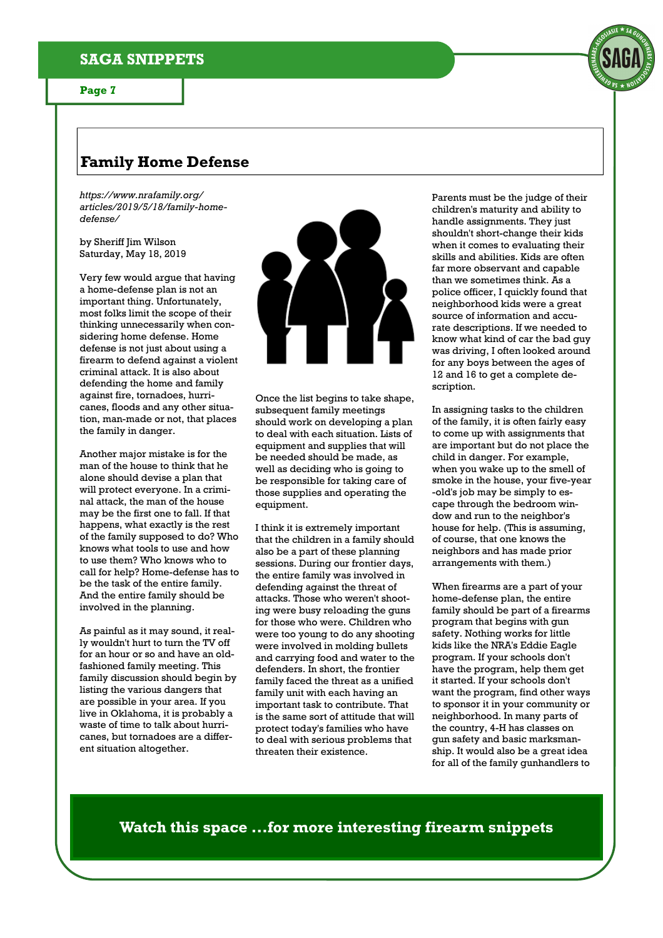## **SAGA SNIPPETS**

#### **Page 7**

# **Family Home Defense**

*https://www.nrafamily.org/ articles/2019/5/18/family-homedefense/* 

by Sheriff Jim Wilson Saturday, May 18, 2019

Very few would argue that having a home-defense plan is not an important thing. Unfortunately, most folks limit the scope of their thinking unnecessarily when considering home defense. Home defense is not just about using a firearm to defend against a violent criminal attack. It is also about defending the home and family against fire, tornadoes, hurricanes, floods and any other situation, man-made or not, that places the family in danger.

Another major mistake is for the man of the house to think that he alone should devise a plan that will protect everyone. In a criminal attack, the man of the house may be the first one to fall. If that happens, what exactly is the rest of the family supposed to do? Who knows what tools to use and how to use them? Who knows who to call for help? Home-defense has to be the task of the entire family. And the entire family should be involved in the planning.

As painful as it may sound, it really wouldn't hurt to turn the TV off for an hour or so and have an oldfashioned family meeting. This family discussion should begin by listing the various dangers that are possible in your area. If you live in Oklahoma, it is probably a waste of time to talk about hurricanes, but tornadoes are a different situation altogether.



Once the list begins to take shape, subsequent family meetings should work on developing a plan to deal with each situation. Lists of equipment and supplies that will be needed should be made, as well as deciding who is going to be responsible for taking care of those supplies and operating the equipment.

I think it is extremely important that the children in a family should also be a part of these planning sessions. During our frontier days, the entire family was involved in defending against the threat of attacks. Those who weren't shooting were busy reloading the guns for those who were. Children who were too young to do any shooting were involved in molding bullets and carrying food and water to the defenders. In short, the frontier family faced the threat as a unified family unit with each having an important task to contribute. That is the same sort of attitude that will protect today's families who have to deal with serious problems that threaten their existence.

Parents must be the judge of their children's maturity and ability to handle assignments. They just shouldn't short-change their kids when it comes to evaluating their skills and abilities. Kids are often far more observant and capable than we sometimes think. As a police officer, I quickly found that neighborhood kids were a great source of information and accurate descriptions. If we needed to know what kind of car the bad guy was driving, I often looked around for any boys between the ages of 12 and 16 to get a complete description.

In assigning tasks to the children of the family, it is often fairly easy to come up with assignments that are important but do not place the child in danger. For example, when you wake up to the smell of smoke in the house, your five-year -old's job may be simply to escape through the bedroom window and run to the neighbor's house for help. (This is assuming, of course, that one knows the neighbors and has made prior arrangements with them.)

When firearms are a part of your home-defense plan, the entire family should be part of a firearms program that begins with gun safety. Nothing works for little kids like the NRA's Eddie Eagle program. If your schools don't have the program, help them get it started. If your schools don't want the program, find other ways to sponsor it in your community or neighborhood. In many parts of the country, 4-H has classes on gun safety and basic marksmanship. It would also be a great idea for all of the family gunhandlers to

**Watch this space ...for more interesting firearm snippets**